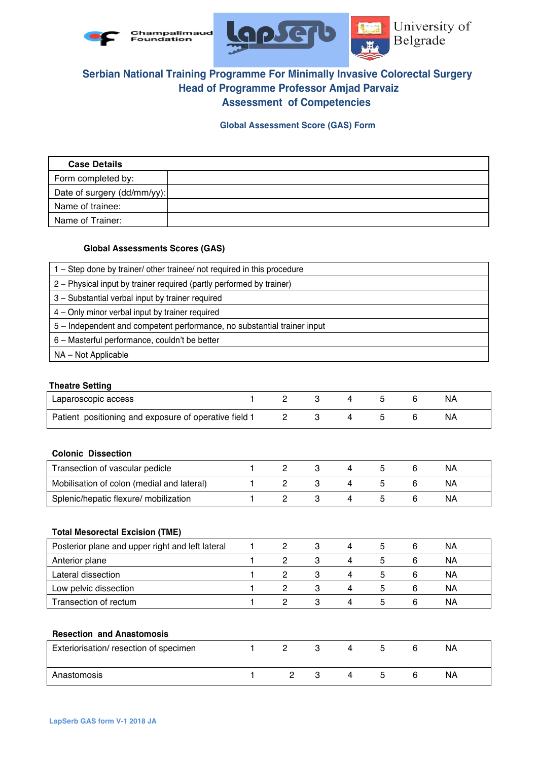



# **Serbian National Training Programme For Minimally Invasive Colorectal Surgery Head of Programme Professor Amjad Parvaiz Assessment of Competencies**

**Global Assessment Score (GAS) Form**

| <b>Case Details</b>         |  |
|-----------------------------|--|
| Form completed by:          |  |
| Date of surgery (dd/mm/yy): |  |
| Name of trainee:            |  |
| Name of Trainer:            |  |

## **Global Assessments Scores (GAS)**

| 1 – Step done by trainer/ other trainee/ not required in this procedure |  |
|-------------------------------------------------------------------------|--|
| 2 – Physical input by trainer required (partly performed by trainer)    |  |
| 3 - Substantial verbal input by trainer required                        |  |
| 4 - Only minor verbal input by trainer required                         |  |
| 5 - Independent and competent performance, no substantial trainer input |  |
| 6 - Masterful performance, couldn't be better                           |  |
| NA - Not Applicable                                                     |  |

#### **Theatre Setting**

| Laparoscopic access                                   |  |  |  |    |  |
|-------------------------------------------------------|--|--|--|----|--|
| Patient positioning and exposure of operative field 1 |  |  |  | NΑ |  |

# **Colonic Dissection**

| Transection of vascular pedicle            |  |  |  | ΝA |  |
|--------------------------------------------|--|--|--|----|--|
| Mobilisation of colon (medial and lateral) |  |  |  | ΝA |  |
| Splenic/hepatic flexure/ mobilization      |  |  |  | ΝA |  |

## **Total Mesorectal Excision (TME)**

| Posterior plane and upper right and left lateral |  | 4 |    |   | ΝA |  |
|--------------------------------------------------|--|---|----|---|----|--|
| Anterior plane                                   |  | 4 | 5. | 6 | ΝA |  |
| Lateral dissection                               |  | 4 | b  |   | ΝA |  |
| Low pelvic dissection                            |  | 4 |    |   | ΝA |  |
| Transection of rectum                            |  | Δ |    | 6 | ΝA |  |

#### **Resection and Anastomosis**

| Exteriorisation/ resection of specimen |  |  |  | <b>NA</b> |
|----------------------------------------|--|--|--|-----------|
| Anastomosis                            |  |  |  | ΝA        |